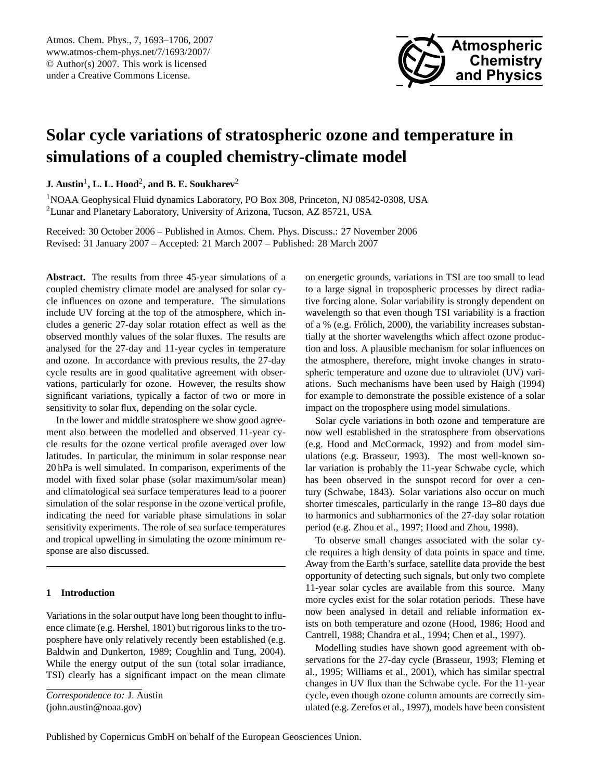<span id="page-0-0"></span>Atmos. Chem. Phys., 7, 1693–1706, 2007 www.atmos-chem-phys.net/7/1693/2007/ © Author(s) 2007. This work is licensed under a Creative Commons License.



# **Solar cycle variations of stratospheric ozone and temperature in simulations of a coupled chemistry-climate model**

 $\mathbf{J.}\ \mathbf{A}$ ustin $^1$ ,  $\mathbf{L.}\ \mathbf{L.}\ \mathbf{Hood}^2,$  and  $\mathbf{B.}\ \mathbf{E.}\ \mathbf{Soukharev}^2$ 

<sup>1</sup>NOAA Geophysical Fluid dynamics Laboratory, PO Box 308, Princeton, NJ 08542-0308, USA <sup>2</sup>Lunar and Planetary Laboratory, University of Arizona, Tucson, AZ 85721, USA

Received: 30 October 2006 – Published in Atmos. Chem. Phys. Discuss.: 27 November 2006 Revised: 31 January 2007 – Accepted: 21 March 2007 – Published: 28 March 2007

**Abstract.** The results from three 45-year simulations of a coupled chemistry climate model are analysed for solar cycle influences on ozone and temperature. The simulations include UV forcing at the top of the atmosphere, which includes a generic 27-day solar rotation effect as well as the observed monthly values of the solar fluxes. The results are analysed for the 27-day and 11-year cycles in temperature and ozone. In accordance with previous results, the 27-day cycle results are in good qualitative agreement with observations, particularly for ozone. However, the results show significant variations, typically a factor of two or more in sensitivity to solar flux, depending on the solar cycle.

In the lower and middle stratosphere we show good agreement also between the modelled and observed 11-year cycle results for the ozone vertical profile averaged over low latitudes. In particular, the minimum in solar response near 20 hPa is well simulated. In comparison, experiments of the model with fixed solar phase (solar maximum/solar mean) and climatological sea surface temperatures lead to a poorer simulation of the solar response in the ozone vertical profile, indicating the need for variable phase simulations in solar sensitivity experiments. The role of sea surface temperatures and tropical upwelling in simulating the ozone minimum response are also discussed.

### **1 Introduction**

Variations in the solar output have long been thought to influence climate (e.g. Hershel, 1801) but rigorous links to the troposphere have only relatively recently been established (e.g. Baldwin and Dunkerton, 1989; Coughlin and Tung, 2004). While the energy output of the sun (total solar irradiance, TSI) clearly has a significant impact on the mean climate

*Correspondence to:* J. Austin (john.austin@noaa.gov)

on energetic grounds, variations in TSI are too small to lead to a large signal in tropospheric processes by direct radiative forcing alone. Solar variability is strongly dependent on wavelength so that even though TSI variability is a fraction of a % (e.g. Frölich,  $2000$ ), the variability increases substantially at the shorter wavelengths which affect ozone production and loss. A plausible mechanism for solar influences on the atmosphere, therefore, might invoke changes in stratospheric temperature and ozone due to ultraviolet (UV) variations. Such mechanisms have been used by Haigh (1994) for example to demonstrate the possible existence of a solar impact on the troposphere using model simulations.

Solar cycle variations in both ozone and temperature are now well established in the stratosphere from observations (e.g. Hood and McCormack, 1992) and from model simulations (e.g. Brasseur, 1993). The most well-known solar variation is probably the 11-year Schwabe cycle, which has been observed in the sunspot record for over a century (Schwabe, 1843). Solar variations also occur on much shorter timescales, particularly in the range 13–80 days due to harmonics and subharmonics of the 27-day solar rotation period (e.g. Zhou et al., 1997; Hood and Zhou, 1998).

To observe small changes associated with the solar cycle requires a high density of data points in space and time. Away from the Earth's surface, satellite data provide the best opportunity of detecting such signals, but only two complete 11-year solar cycles are available from this source. Many more cycles exist for the solar rotation periods. These have now been analysed in detail and reliable information exists on both temperature and ozone (Hood, 1986; Hood and Cantrell, 1988; Chandra et al., 1994; Chen et al., 1997).

Modelling studies have shown good agreement with observations for the 27-day cycle (Brasseur, 1993; Fleming et al., 1995; Williams et al., 2001), which has similar spectral changes in UV flux than the Schwabe cycle. For the 11-year cycle, even though ozone column amounts are correctly simulated (e.g. Zerefos et al., 1997), models have been consistent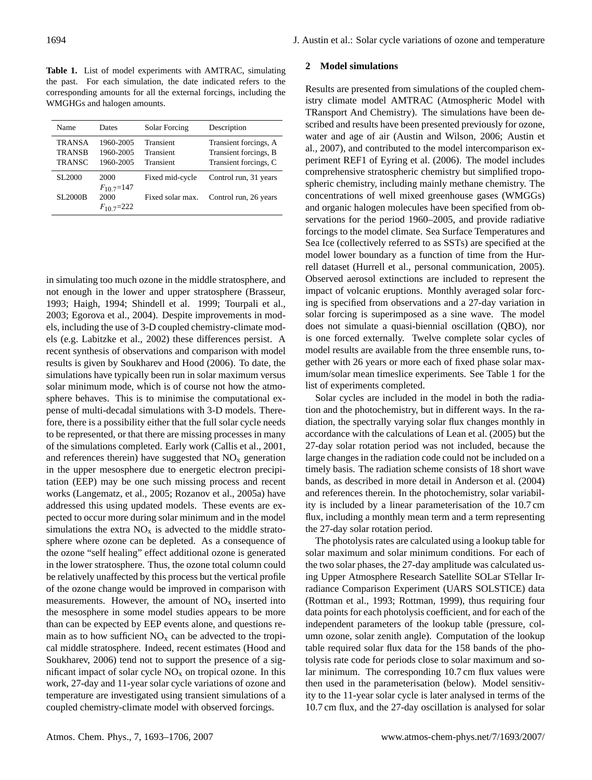**Table 1.** List of model experiments with AMTRAC, simulating the past. For each simulation, the date indicated refers to the corresponding amounts for all the external forcings, including the WMGHGs and halogen amounts.

| Name                           | Dates                  | Solar Forcing          | Description                                    |
|--------------------------------|------------------------|------------------------|------------------------------------------------|
| <b>TRANSA</b><br><b>TRANSB</b> | 1960-2005<br>1960-2005 | Transient<br>Transient | Transient forcings, A<br>Transient forcings, B |
| <b>TRANSC</b>                  | 1960-2005              | Transient              | Transient forcings, C                          |
| SL <sub>2000</sub>             | 2000<br>$F_{10}$ 7=147 | Fixed mid-cycle        | Control run, 31 years                          |
| <b>SL2000B</b>                 | 2000<br>$F_{10}$ 7=222 | Fixed solar max.       | Control run, 26 years                          |

in simulating too much ozone in the middle stratosphere, and not enough in the lower and upper stratosphere (Brasseur, 1993; Haigh, 1994; Shindell et al. 1999; Tourpali et al., 2003; Egorova et al., 2004). Despite improvements in models, including the use of 3-D coupled chemistry-climate models (e.g. Labitzke et al., 2002) these differences persist. A recent synthesis of observations and comparison with model results is given by Soukharev and Hood (2006). To date, the simulations have typically been run in solar maximum versus solar minimum mode, which is of course not how the atmosphere behaves. This is to minimise the computational expense of multi-decadal simulations with 3-D models. Therefore, there is a possibility either that the full solar cycle needs to be represented, or that there are missing processes in many of the simulations completed. Early work (Callis et al., 2001, and references therein) have suggested that  $NO<sub>x</sub>$  generation in the upper mesosphere due to energetic electron precipitation (EEP) may be one such missing process and recent works (Langematz, et al., 2005; Rozanov et al., 2005a) have addressed this using updated models. These events are expected to occur more during solar minimum and in the model simulations the extra  $NO<sub>x</sub>$  is advected to the middle stratosphere where ozone can be depleted. As a consequence of the ozone "self healing" effect additional ozone is generated in the lower stratosphere. Thus, the ozone total column could be relatively unaffected by this process but the vertical profile of the ozone change would be improved in comparison with measurements. However, the amount of  $NO<sub>x</sub>$  inserted into the mesosphere in some model studies appears to be more than can be expected by EEP events alone, and questions remain as to how sufficient  $NO<sub>x</sub>$  can be advected to the tropical middle stratosphere. Indeed, recent estimates (Hood and Soukharev, 2006) tend not to support the presence of a significant impact of solar cycle  $NO<sub>x</sub>$  on tropical ozone. In this work, 27-day and 11-year solar cycle variations of ozone and temperature are investigated using transient simulations of a coupled chemistry-climate model with observed forcings.

### **2 Model simulations**

Results are presented from simulations of the coupled chemistry climate model AMTRAC (Atmospheric Model with TRansport And Chemistry). The simulations have been described and results have been presented previously for ozone, water and age of air (Austin and Wilson, 2006; Austin et al., 2007), and contributed to the model intercomparison experiment REF1 of Eyring et al. (2006). The model includes comprehensive stratospheric chemistry but simplified tropospheric chemistry, including mainly methane chemistry. The concentrations of well mixed greenhouse gases (WMGGs) and organic halogen molecules have been specified from observations for the period 1960–2005, and provide radiative forcings to the model climate. Sea Surface Temperatures and Sea Ice (collectively referred to as SSTs) are specified at the model lower boundary as a function of time from the Hurrell dataset (Hurrell et al., personal communication, 2005). Observed aerosol extinctions are included to represent the impact of volcanic eruptions. Monthly averaged solar forcing is specified from observations and a 27-day variation in solar forcing is superimposed as a sine wave. The model does not simulate a quasi-biennial oscillation (QBO), nor is one forced externally. Twelve complete solar cycles of model results are available from the three ensemble runs, together with 26 years or more each of fixed phase solar maximum/solar mean timeslice experiments. See Table 1 for the list of experiments completed.

Solar cycles are included in the model in both the radiation and the photochemistry, but in different ways. In the radiation, the spectrally varying solar flux changes monthly in accordance with the calculations of Lean et al. (2005) but the 27-day solar rotation period was not included, because the large changes in the radiation code could not be included on a timely basis. The radiation scheme consists of 18 short wave bands, as described in more detail in Anderson et al. (2004) and references therein. In the photochemistry, solar variability is included by a linear parameterisation of the 10.7 cm flux, including a monthly mean term and a term representing the 27-day solar rotation period.

The photolysis rates are calculated using a lookup table for solar maximum and solar minimum conditions. For each of the two solar phases, the 27-day amplitude was calculated using Upper Atmosphere Research Satellite SOLar STellar Irradiance Comparison Experiment (UARS SOLSTICE) data (Rottman et al., 1993; Rottman, 1999), thus requiring four data points for each photolysis coefficient, and for each of the independent parameters of the lookup table (pressure, column ozone, solar zenith angle). Computation of the lookup table required solar flux data for the 158 bands of the photolysis rate code for periods close to solar maximum and solar minimum. The corresponding 10.7 cm flux values were then used in the parameterisation (below). Model sensitivity to the 11-year solar cycle is later analysed in terms of the 10.7 cm flux, and the 27-day oscillation is analysed for solar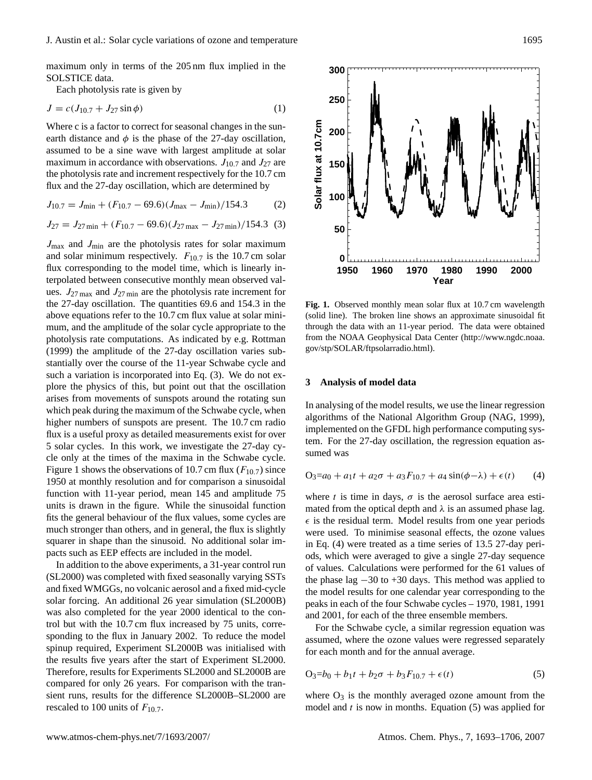maximum only in terms of the 205 nm flux implied in the SOLSTICE data.  $N_{\rm H}$  and  $N_{\rm H}$  and  $N_{\rm H}$  middle strategies of the 200  $\rm{mm}$  max map.

Each photolysis rate is given by

$$
J = c(J_{10.7} + J_{27} \sin \phi) \tag{1}
$$

Where c is a factor to correct for seasonal changes in the sunearth distance and  $\phi$  is the phase of the 27-day oscillation,<br>essented to be a cinq wave with largest simulated at solar assumed to be a sine wave with largest amplitude at solar maximum in accordance with observations.  $J_{10.7}$  and  $J_{27}$  are the photolysis rate and increment respectively for the 10.7 cm flux and the 27-day oscillation, which are determined by

$$
J_{10.7} = J_{\text{min}} + (F_{10.7} - 69.6)(J_{\text{max}} - J_{\text{min}})/154.3
$$
 (2)

$$
J_{27} = J_{27 \text{ min}} + (F_{10.7} - 69.6)(J_{27 \text{ max}} - J_{27 \text{ min}})/154.3 \tag{3}
$$

 $J_{\text{max}}$  and  $J_{\text{min}}$  are the photolysis rates for solar maximum and solar minimum respectively.  $F_{10.7}$  is the 10.7 cm solar flux corresponding to the model time, which is linearly interpolated between consecutive monthly mean observed valterporated between consecutive monthly mean observed values.  $J_{27 \text{ max}}$  and  $J_{27 \text{ min}}$  are the photolysis rate increment for the  $27$ -day oscillation. The quantities 69.6 and 154.3 in the above equations refer to the  $10.7$  cm flux value at solar minimum, and the amplitude of the solar cycle appropriate to the photolysis rate computations. As indicated by e.g. Rottman (1999) the amplitude of the 27-day oscillation varies sub-<br>concentrally green the greene of the 11 mag Salmaha such and stantially over the course of the 11-year Schwabe cycle and such a variation is incorporated into Eq.  $(3)$ . We do not explore the physics of this, but point out that the oscillation arises from movements of sunspots around the rotating sun which peak during the maximum of the Schwabe cycle, when higher numbers of sunspots are present. The 10.7 cm radio flux is a useful proxy as detailed measurements exist for over 5 solar cycles. In this work, we investigate the 27-day cy-<br>sumed was cle only at the times of the maxima in the Schwabe cycle. Figure 1 shows the observations of 10.7 cm flux ( $F_{10.7}$ ) since 1950 at monthly resolution and for comparison a sinusoidal function with 11-year period, mean 145 and amplitude 75 units is drawn in the figure. While the sinusoidal function fits the general behaviour of the flux values, some cycles are much stronger than others, and in general, the flux is slightly squarer in shape than the sinusoid. No additional solar impacts such as EEP effects are included in the model.  $\ddot{a}$  and  $\ddot{a}$  $ex-$ 

In addition to the above experiments, a 31-year control run (SL2000) was completed with fixed seasonally varying SSTs and fixed WMGGs, no volcanic aerosol and a fixed mid-cycle solar forcing. An additional 26 year simulation (SL2000B) was also completed for the year 2000 identical to the control but with the 10.7 cm flux increased by 75 units, corresponding to the flux in January 2002. To reduce the model spinup required, Experiment SL2000B was initialised with the results five years after the start of Experiment SL2000. Therefore, results for Experiments SL2000 and SL2000B are compared for only 26 years. For comparison with the transient runs, results for the difference SL2000B–SL2000 are rescaled to 100 units of  $F_{10.7}$ .

**Fig. 1.** (solid line). The broken line shows an approximate sinusoidal fit nam allength (solid line shows and with the state with the transmission line shows an approximate sites of the NOAA Geophysical Data Center [\(http://www.ngdc.noaa.](http://www.ngdc.noaa.gov/stp/SOLAR/ftpsolarradio.html) nus<br> [gov/stp/SOLAR/ftpsolarradio.html\)](http://www.ngdc.noaa.gov/stp/SOLAR/ftpsolarradio.html). **Fig. 1.** Observed monthly mean solar flux at 10.7 cm wavelength through the data with an 11-year period. The data were obtained

### **3 Analysis of model data**

In analysing of the model results, we use the linear regression hen and the photochemists, we use the mean regression algorithms of the National Algorithm Group (NAG, 1999), implemented on the GFDL high performance computing system. For the 27-day oscillation, the regression equation assumed was

$$
O_3 = a_0 + a_1t + a_2\sigma + a_3F_{10.7} + a_4\sin(\phi - \lambda) + \epsilon(t)
$$
 (4)

where t is time in days,  $\sigma$  is the aerosol surface area estimated from the optical depth and  $\lambda$  is an assumed phase lag.  $\epsilon$  is the residual term. Model results from one year periods were used. To minimise seasonal effects, the ozone values in Eq. (4) were treated as a time series of 13.5 27-day periods, which were averaged to give a single 27-day sequence of values. Calculations were performed for the 61 values of the phase lag −30 to +30 days. This method was applied to the model results for one calendar year corresponding to the peaks in each of the four Schwabe cycles – 1970, 1981, 1991 and 2001, for each of the three ensemble members.

For the Schwabe cycle, a similar regression equation was assumed, where the ozone values were regressed separately for each month and for the annual average.

$$
O_3 = b_0 + b_1 t + b_2 \sigma + b_3 F_{10.7} + \epsilon(t)
$$
\n(5)

where  $O_3$  is the monthly averaged ozone amount from the model and  $t$  is now in months. Equation (5) was applied for

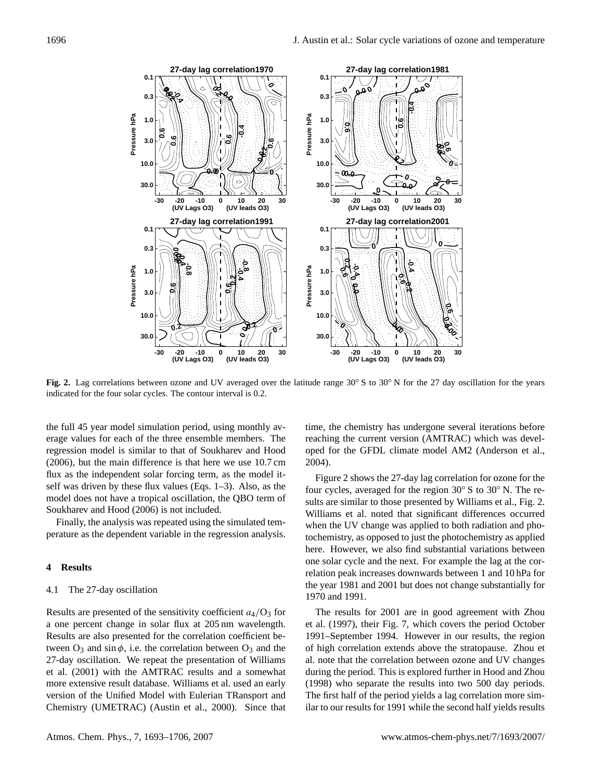

Fig. 2. Lag correlations between ozone and UV averaged over the latitude range  $30^{\circ}$  S to  $30^{\circ}$  N for the 27 day oscillation for the years indicated for the four solar cycles. The contour interval is 0.2. indicated for the four solar cycles. The contour interval is 0.2.

and the 1981 values lower than observed. The values at zero the full 45 year model simulation period, using monthly average values for each of the three ensemble members. The regression model is similar to that of Soukharev and Hood (2006), but the main difference is that here we use  $10.7 \text{ cm}$ flux as the independent solar forcing term, as the model itself was driven by these flux values (Eqs.  $1-3$ ). Also, as the model does not have a tropical oscillation, the QBO term of Soukharev and Hood  $(2006)$  is not included.  $\frac{10000}{2000}$  is not metalcut.

Finally, the analysis was repeated using the simulated temperature as the dependent variable in the regression analysis.

### **4 Results**

## 4.1 The 27-day oscillation

Results are presented of the sensitivity coefficient  $a_4/O_3$  for a one percent change in solar flux at 205 nm wavelength. Results are also presented for the correlation coefficient between  $O_3$  and sin  $\phi$ , i.e. the correlation between  $O_3$  and the 27-day oscillation. We repeat the presentation of Williams et al. (2001) with the AMTRAC results and a somewhat more extensive result database. Williams et al. used an early version of the Unified Model with Eulerian TRansport and Chemistry (UMETRAC) (Austin et al., 2000). Since that

more precisely on the 27-day or the 27-day or 27-day or 27-day or 27-day or 27-day or 27-day or 27-day or 27-d<br>The 27-day of 27-day or 27-day or 27-day or 27-day or 27-day or 27-day or 27-day or 27-day or 27-day or 27-day time, the chemistry has undergone several iterations before reaching the current version (AMTRAC) which was developed for the GFDL climate model AM2 (Anderson et al.,  $(0.4)$ and  $\alpha$  much larger signal, by about a factor of two compared with  $\alpha$ 2004).

Figure 2 shows the 27-day lag correlation for ozone for the  $\frac{1}{2}$   $\frac{1}{2}$  the model results below 5 hpa are in good agreement and good agreement agreement and good agreement agreement and good agreement and good agreement and good agreement and good agreement and good agreem sults are similar to those presented by Williams et al., Fig. 2. Williams et al. noted that significant differences occurred when the UV change was applied to both radiation and photochemistry, as opposed to just the photochemistry as applied  $\frac{1}{\sqrt{2}}$  . However we also find substantial variations. here. However, we also find substantial variations between one solar cycle and the next. For example the lag at the correlation peak increases downwards between 1 and 10 hPa for the year 1981 and 2001 but does not change substantially for four cycles, averaged for the region 30◦ S to 30◦ N. The re-1970 and 1991.

exented of the sensitivity coefficient  $a_4/O_3$  for The results for 2001 are in good agreement with Zhou et al. (1997), their Fig. 7, which covers the period October 1991–September 1994. However in our results, the region of high correlation extends above the stratopause. Zhou et al. note that the correlation between ozone and UV changes during the period. This is explored further in Hood and Zhou (1998) who separate the results into two 500 day periods. The first half of the period yields a lag correlation more similar to our results for 1991 while the second half yields results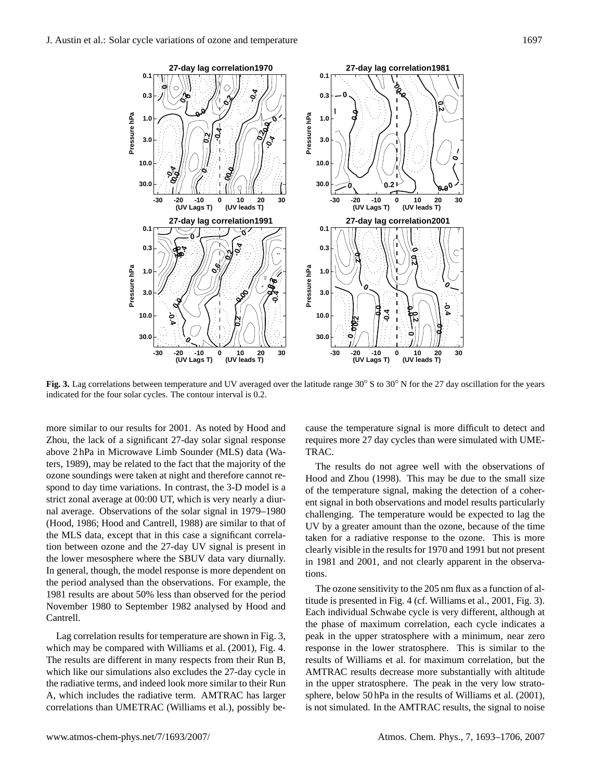

Fig. 3. Lag correlations between temperature and UV averaged over the latitude range  $30^{\circ}$  S to  $30^{\circ}$  N for the 27 day oscillation for the years indicated for the four solar cycles. The contour interval is 0.2. indicated for the four solar cycles. The contour interval is 0.2.

average over the solar  $2001$  change of the solar cycle more similar to our results for 2001. As noted by Hood and Zhou, the lack of a significant 27-day solar signal response ters, 1989), may be related to the fact that the majority of the spond to day time variations. In contrast, the 3-D model is a strict zonal average at 00:00 UT, which is very nearly a diurnal average. Observations of the solar signal in 1979–1980  $\frac{1}{1}$  10  $\pm$  11 1000)  $\pm$  11  $\pm$  4  $\pm$  6 (Hood, 1986; Hood and Cantrell, 1988) are similar to that of the MLS data, except that in this case a significant correlation between ozone and the 27-day UV signal is present in the lower mesosphere where the SBUV data vary diurnally.  $\frac{1}{\sqrt{2}}$  is the model geometries is more dependent on In general, though, the model response is more dependent on the period analysed than the observations. For example, the above 2 hPa in Microwave Limb Sounder (MLS) data (Waozone soundings were taken at night and therefore cannot re-1981 results are about 50% less than observed for the period November 1980 to September 1982 analysed by Hood and Cantrell.

Lag correlation results for temperature are shown in Fig. 3, which may be compared with Williams et al. (2001), Fig. 4. The results are different in many respects from their Run B, which like our simulations also excludes the 27-day cycle in the radiative terms, and indeed look more similar to their Run A, which includes the radiative term. AMTRAC has larger correlations than UMETRAC (Williams et al.), possibly be-

 $T$  the temperature response is mean  $T$  for  $\alpha$  and  $\alpha$ cause the temperature signal is more difficult to detect and requires more 27 day cycles than were simulated with UME- $RAC$ . In high latitudes the lowerstratospheric sig-TRAC.

nal is opposite to the upper stratospheric signal, although not The results do not agree well with the observations of Hood and Zhou (1998). This may be due to the small size of the temperature signal, making the detection of a coherent signal in both observations and model results particularly challenging. The temperature would be expected to lag the the model divergence of  $d = d - 1$ UV by a greater amount than the ozone, because of the time taken for a radiative response to the ozone. This is more clearly visible in the results for 1970 and 1991 but not present in 1981 and 2001, and not clearly apparent in the observa- $\text{ns.}$ tions.

The ozone sensitivity to the 205 nm flux as a function of al-So to september 1982 analysed by Hood and<br>Each individual Schwabe cycle is very different, although at titude is presented in Fig. 4 (cf. Williams et al., 2001, Fig. 3). the phase of maximum correlation, each cycle indicates a peak in the upper stratosphere with a minimum, near zero response in the lower stratosphere. This is similar to the results of Williams et al. for maximum correlation, but the AMTRAC results decrease more substantially with altitude in the upper stratosphere. The peak in the very low stratosphere, below 50 hPa in the results of Williams et al. (2001), is not simulated. In the AMTRAC results, the signal to noise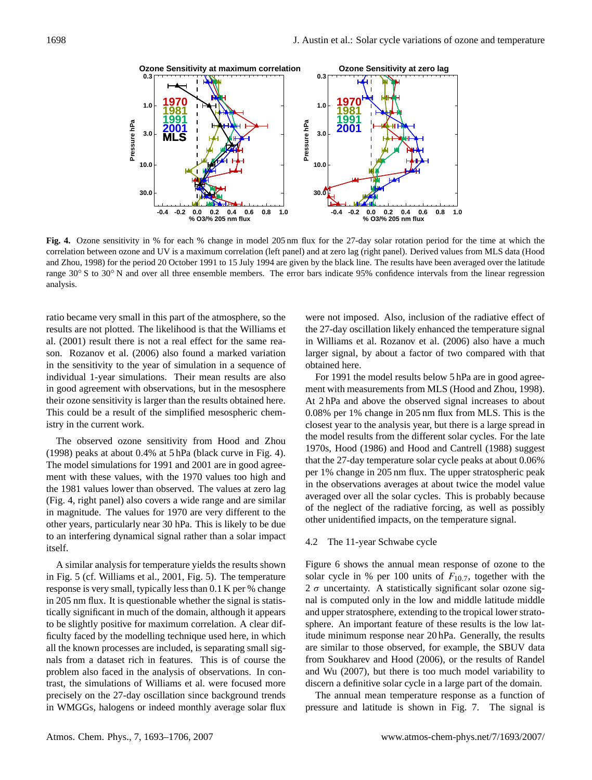

Fig. **Fig.** The sensitivity in % for each % change in model 205 nm flux for the 27-day solar rotation period for the time at correlation between ozone and UV is a maximum correlation (left panel) and at zero lag (right panel). Derived values from MLS data (Hood and Zhou, 1998) for the period 20 October 1991 to 15 July 1994 are given by the black line. The results have been averaged over the latitude range  $30^{\circ}$  S to  $30^{\circ}$  N and over all three ensemble members. The error bars indicate 95% confidence intervals from the linear regression **Fig. 4.** Ozone sensitivity in % for each % change in model 205 nm flux for the 27-day solar rotation period for the time at which the analysis.

ratio became very small in this part of the atmosphere, so the **10.0** their ozone sensitivity is larger than the results obtained here. individual 1-year simulations. Their mean results are also al. (2001) result there is not a real effect for the same rea**h**<br>it son. Rozanov et al. (2006) also found a marked variation 199100<br>If simu in the sensitivity to the year of simulation in a sequence of results are not plotted. The likelihood is that the Williams et in good agreement with observations, but in the mesosphere This could be a result of the simplified mesospheric chemistry in the current work.

**-0.2 -0.1 0.0 0.1 0.2** (1998) peaks at about 0.4% at 5 hPa (black curve in Fig. 4). The model simulations for 1991 and 2001 are in good agreethe 1981 values lower than observed. The values at zero lag here the conservations averages at about twice the mo in magnitude. The values for 1970 are very different to the  $\frac{0.01 \text{ m}}{2}$  intervals for an regression the linear regression the linear regression of the linear regression of the linear regression of the linear regress other years, particularly near 30 hPa. This is likely to be due The observed ozone sensitivity from Hood and Zhou ment with these values, with the 1970 values too high and (Fig. 4, right panel) also covers a wide range and are similar to an interfering dynamical signal rather than a solar impact itself.

 $t \rightarrow 0$ A similar analysis for temperature yields the results shown in Fig. 5 (cf. Williams et al., 2001, Fig. 5). The temperature response is very small, typically less than 0.1 K per % change in 205 nm flux. It is questionable whether the signal is statistically significant in much of the domain, although it appears to be slightly positive for maximum correlation. A clear difficulty faced by the modelling technique used here, in which all the known processes are included, is separating small signals from a dataset rich in features. This is of course the problem also faced in the analysis of observations. In contrast, the simulations of Williams et al. were focused more precisely on the 27-day oscillation since background trends in WMGGs, halogens or indeed monthly average solar flux

were not imposed. Also, inclusion of the radiative effect of in Williams et al. Rozanov et al. (2006) also have a much larger signal, by about a factor of two compared with that **1991** obtained here. the 27-day oscillation likely enhanced the temperature signal

**-0.2 -0.1 0.0 0.1 0.2** 1970s, Hood (1986) and Hood and Cantrell (1988) suggest that the 27-day temperature solar cycle peaks at about 0.06% the model results from the different solar cycles. For the late **10.0** At 2 hPa and above the observed signal increases to about tamed nere.<br>For 1991 the model results below 5 hPa are in good agree**c**<br>**r** correlation between  $\alpha$  is a maximum correlation of  $\alpha$  are equallent averaged over all the solar cycles. This is probably because The values for 1970 are very different to the summary of the neglect of the radiative forcing, as well as possibly ment with measurements from MLS (Hood and Zhou, 1998). 0.08% per 1% change in 205 nm flux from MLS. This is the closest year to the analysis year, but there is a large spread in per 1% change in 205 nm flux. The upper stratospheric peak in the observations averages at about twice the model value other unidentified impacts, on the temperature signal.

### 4.2 The 11-year Schwabe cycle

 $\sim$  50 for a full solar cycle. However, even on a monthly means on a monthly means on a monthly means of  $\sim$ Figure 6 shows the annual mean response of ozone to the solar cycle in % per 100 units of  $F_{10.7}$ , together with the It is questionable whether the signal is statis-<br>all is computed only in the low and middle latitude middle 2  $\sigma$  uncertainty. A statistically significant solar ozone sigand upper stratosphere, extending to the tropical lower stratosphere. An important feature of these results is the low latitude minimum response near 20 hPa. Generally, the results are similar to those observed, for example, the SBUV data from Soukharev and Hood (2006), or the results of Randel and Wu (2007), but there is too much model variability to discern a definitive solar cycle in a large part of the domain.

> The annual mean temperature response as a function of pressure and latitude is shown in Fig. 7. The signal is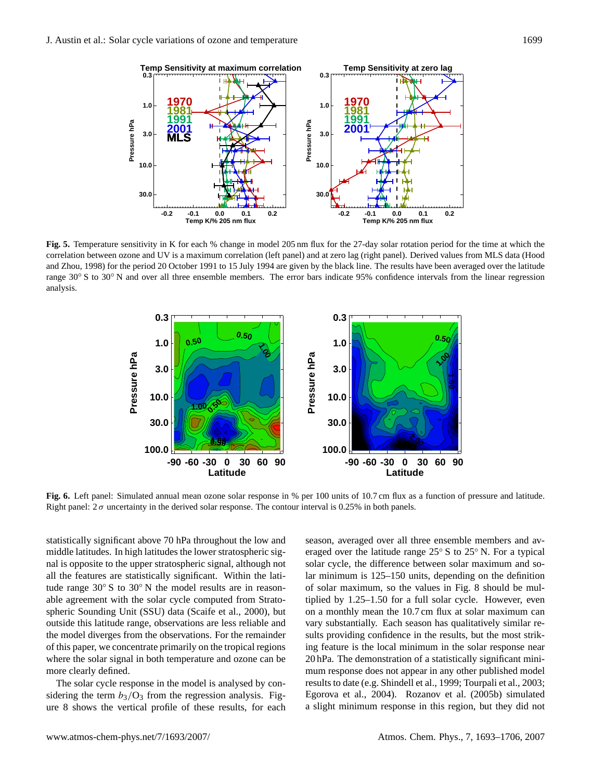

Fig. 5. Temperature sensitivity in K for each % change in model 205 nm flux for the 27-day solar rotation period for the time at which the correlation between ozone and UV is a maximum correlation (left panel) and at zero lag (right panel). Derived values from MLS data (Hood and Zhou, 1998) for the period 20 October 1991 to 15 July 1994 are given by the black line. The results have been averaged over the latitude  $r_{\rm A}$ <sup>o</sup>N and over all three ensemble members. The error bars indicate 95% confidence intervals from the linear regression range 30° S to 30° N and over all three ensemble members. The error bars indicate 95% confidence intervals from the linear regression analysis.



Fig. 6. Left panel: Simulated annual mean ozone solar response in % per 100 units of 10.7 cm flux as a function of pressure and latitude. Right panel:  $2\sigma$  uncertainty in the derived solar response. The contour interval is 0.25% in both panels.

of this paper, we concentrate primarily on the tropical regions **10.0** spheric Sounding Unit (SSU) data (Scaife et al., 2000), but tude range 30° S to 30° N the model results are in reason-**1.0 0.1** nal is opposite to the upper stratospheric signal, although not statistically significant above 70 hPa throughout the low and tai<br>
3C<br>
it<br>
ar<br>
12 all the features are statistically significant. Within the lati-<br>all the features are statistically significant. Within the latiwhere the solar signal in both temperature and ozone can be middle latitudes. In high latitudes the lower stratospheric sigable agreement with the solar cycle computed from Stratooutside this latitude range, observations are less reliable and the model diverges from the observations. For the remainder more clearly defined.

The solar cycle response in the model is analysed by con- $\frac{1}{2}$  is the side of the term  $b_3$ /O<sub>3</sub> from the regression analysis. Figure 8 shows the vertical profile of these results, for each a slight minimum response in this region, but the

results to date (e.g. Shindell et al., 1999; Tourpali et al., 2003; **Latitude** Egorova et al., 2004). Rozanov et al. (2005b) simulated mum response does not appear in any other published model **30.03** providing connuence in the results, out the most strike ing feature is the local minimum in the solar response near **10.0** on a monthly mean the 10.7 cm flux at solar maximum can **3.0** of solar maximum, so the values in Fig. 8 should be mulsolar cycle, the difference between solar maximum and soseason, averaged over all three ensemble members and av-**Pressure the context**<br> **Pressure**<br> **Pressure** sults providing confidence in the results, but the most strikeraged over the latitude range 25◦ S to 25◦ N. For a typical lar minimum is 125–150 units, depending on the definition tiplied by 1.25–1.50 for a full solar cycle. However, even vary substantially. Each season has qualitatively similar re-20 hPa. The demonstration of a statistically significant minia slight minimum response in this region, but they did not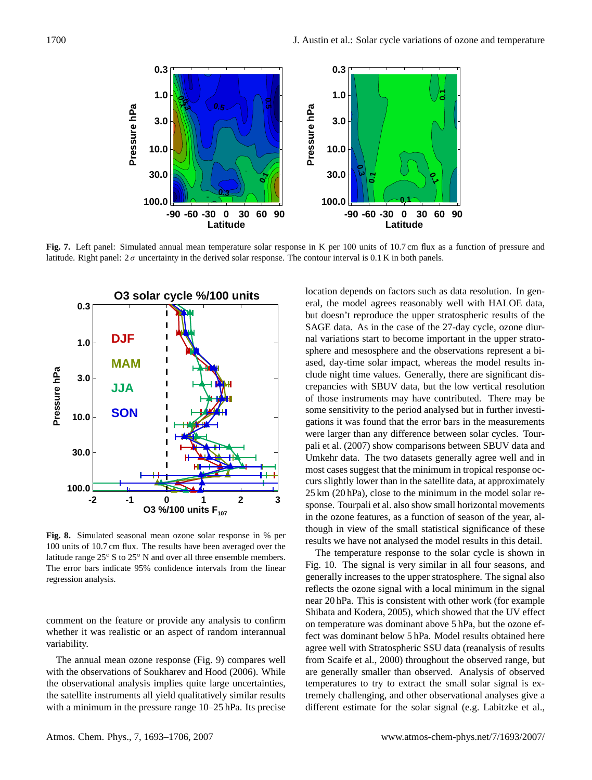

Fig. 7. Left panel: Simulated annual mean temperature solar response in K per 100 units of 10.7 cm flux as a function of pressure and latitude. Right panel:  $2\sigma$  uncertainty in the derived solar response. The contour interval is 0.1 K in both panels.



The error bars indicate 95% confidence intervals from the linear regression analysis. **Fig. 8.** Simulated seasonal mean ozone solar response in % per 100 units of 10.7 cm flux. The results have been averaged over the latitude range 25◦ S to 25◦ N and over all three ensemble members.

comment on the feature or provide any analysis to confirm whether it was realistic or an aspect of random interannual variability.

The annual mean ozone response (Fig. 9) compares well with the observations of Soukharev and Hood (2006). While the observational analysis implies quite large uncertainties, clude saturate instruments and yield quantatively similar results.<br>with a minimum in the process range 10, 25 bPa. Its process with a minimum in the pressure range  $10-25$  hPa. Its precise the satellite instruments all yield qualitatively similar results

location depends on factors such as data resolution. In general, the model agrees reasonably well with HALOE data, but doesn't reproduce the upper stratospheric results of the SAGE data. As in the case of the 27-day cycle, ozone diur- $\frac{1}{2}$  depends on the  $\frac{1}{2}$  data resolution. In the case of the  $\frac{1}{2}$  day cycle, nal variations start to become important in the upper stratosphere and mesosphere and the observations represent a biased, day-time solar impact, whereas the model results in-Atmos. Chem. Phys., 0000, 0001–15, 2007 www.atmos-chem-phys.org/acp/0000/0001/ crepancies with SBUV data, but the low vertical resolution **-2 -1 0 1 2 3 4 5** pali et al. (2007) show comparisons between SBUV data and Umkehr data. The two datasets generally agree well and in were larger than any difference between solar cycles. Tourgations it was found that the error bars in the measurements **10.0** of those instruments may have contributed. There may be clude night time values. Generally, there are significant disd:<br>pa<br>th most cases suggest that the minimum in tropical response octhough in view of the small statistical significance of these sponse. Tourpali et al. also show small horizontal movements **0.3** curs slightly lower than in the satellite data, at approximately th<br>ա<br>Րե in the ozone features, as a function of season of the year, alsome sensitivity to the period analysed but in further investi-25 km (20 hPa), close to the minimum in the model solar reresults we have not analysed the model results in this detail.

The annual mean ozone response (Figure 9) compares well

**-2 -1 0 1 2 3 4 5** near 20 hPa. This is consistent with other work (for example Shibata and Kodera, 2005), which showed that the UV effect reflects the ozone signal with a local minimum in the signal Fig. 10. The signal is very similar in all four seasons, and The temperature response to the solar cycle is shown in on temperature was dominant above 5 hPa, but the ozone efdifferent estimate for the solar signal (e.g. Labitzke et al., temperatures to try to extract the small solar signal is exfrom Scaife et al., 2000) throughout the observed range, but **0.3** fect was dominant below 5 hPa. Model results obtained here ع<br>pr<br>fe are generally smaller than observed. Analysis of observed generally increases to the upper stratosphere. The signal also agree well with Stratospheric SSU data (reanalysis of results tremely challenging, and other observational analyses give a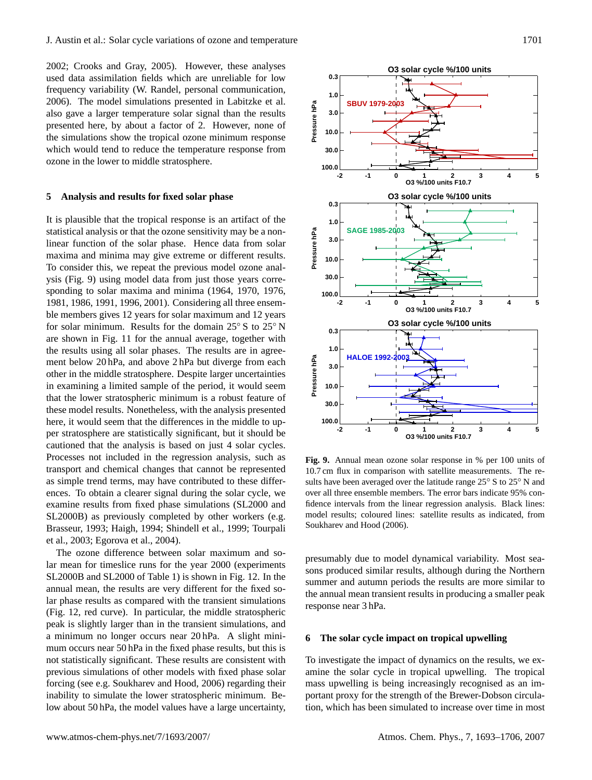2002; Crooks and Gray, 2005). However, these analyses **0.3** used data assimilation fields which are unreliable for low frequency variability (W. Randel, personal communication, 2006). The model simulations presented in Labitzke et al. zooo). The moder simulations presented in EachTrice et al.<br>also gave a larger temperature solar signal than the results presented here, by about a factor of 2. However, none of the simulations show the tropical ozone minimum response which would tend to reduce the temperature response from ozone in the lower to middle stratosphere. la<br>er<br>d<br>1

#### **5 Analysis and results for fixed solar phase**

It is plausible that the tropical response is an artifact of the **-2 -1 0 1 2 3** statistical analysis or that the ozone sensitivity may be a nonlinear function of the solar phase. Hence data from solar maxima and minima may give extreme or different results. To consider this, we repeat the previous model ozone analysis (Fig. 9) using model data from just those years corresponding to solar maxima and minima (1964, 1970, 1976, 1981, 1986, 1991, 1996, 2001). Considering all three ensem-1961, 1966, 1991, 1996, 2001). Considering an ance ensemble members gives 12 years for solar maximum and 12 years for solar minimum. Results for the domain 25◦ S to 25◦ N are shown in Fig. 11 for the annual average, together with the results using all solar phases. The results are in agreement below 20 hPa, and above 2 hPa but diverge from each other in the middle stratosphere. Despite larger uncertainties in examining a limited sample of the period, it would seem that the lower stratospheric minimum is a robust feature of these model results. Nonetheless, with the analysis presented here, it would seem that the differences in the middle to upper stratosphere are statistically significant, but it should be cautioned that the analysis is based on just 4 solar cycles. Processes not included in the regression analysis, such as transport and chemical changes that cannot be represented as simple trend terms, may have contributed to these differas simple undertains, may have contributed to these unter-<br>ences. To obtain a clearer signal during the solar cycle, we examine results from fixed phase simulations (SL2000 and SL2000B) as previously completed by other workers (e.g. Brasseur, 1993; Haigh, 1994; Shindell et al., 1999; Tourpali et al., 2003; Egorova et al., 2004).  $r = 12$  $\frac{1}{2}$ . To obtain a creater signal during the solar cycle, we

The ozone difference between solar maximum and solar mean for timeslice runs for the year 2000 (experiments SL2000B and SL2000 of Table 1) is shown in Fig. 12. In the annual mean, the results are very different for the fixed solar phase results as compared with the transient simulations (Fig. 12, red curve). In particular, the middle stratospheric peak is slightly larger than in the transient simulations, and a minimum no longer occurs near 20 hPa. A slight minimum occurs near  $50$  hPa in the fixed phase results, but this is not statistically significant. These results are consistent with more statistically significantly rises research are consistent with<br>previous simulations of other models with fixed phase solar forcing (see e.g. Soukharev and Hood, 2006) regarding their inability to simulate the lower stratospheric minimum. Below about 50 hPa, the model values have a large uncertainty,



**Fig. 9.** Annual mean ozone solar response in % per 100 units of 10.7 cm flux in comparison with satellite measurements. The re-10.7 cm flux in comparison with satellite measurements. The results have been averaged over the latitude range 25◦S to 25◦N and sults have been averaged over the latitude range 25◦ S to 25◦ N and over all three ensemble members. The error bars indicate 95% confidence intervals from the linear regression analysis. Black lines: fidence intervals from the linear regression analysis. Black lines: model results; coloured lines: satellite results as indicated, from model results; coloured lines: satellite results as indicated, from Soukharev and Hood (2006). Soukharev and Hood (2006).

sons produced similar results, although during the Northern some produced similar results, dialogic daring the rotation tremely and autumn periods the results are more similar to the annual mean transient results in producing a smaller peak response near 3 hPa. presumably due to model dynamical variability. Most sea-

### The seler evale impect on trepical unwelling **6** The solar cycle impact on tropical upwelling

To investigate the impact of dynamics on the results, we exhere, by about a factor of 2. However, none of the solarity, we can amine the solar cycle in tropical upwelling. The tropical ity to simulate the lower stratospheric minimum. Be-<br>portant proxy for the strength of the Brewer-Dobson circulamass upwelling is being increasingly recognised as an imtion, which has been simulated to increase over time in most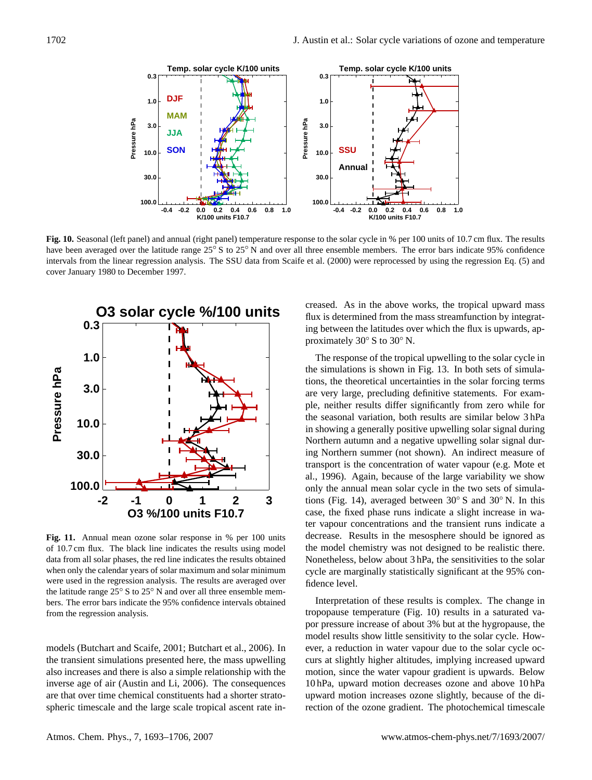

have been averaged over the latitude range 25° S to 25° N and over all three ensemble members. The error bars indicate 95% confidence intervals from the linear regression analysis. The SSU data from Scaife et al. (2000) were reprocessed by using the regression Eq. (5) and cover January 1980 to December 1997. Fig. 10. Seasonal (left panel) and annual (right panel) temperature response to the solar cycle in % per 100 units of 10.7 cm flux. The results



Fig. 11. Annual mean ozone solar response in % per 100 units of 10.7 cm flux. The black line indicates the results using model Processes included in the region and region and regression and regression and regression and the region and the region and the region of the region and the region of the region and the region of the region and the region o data from all solar phases, the red line indicates the results obtained data from an solar phases, the red line indicates the results obtained<br>when only the calendar years of solar maximum and solar minimum 25 S to 25 N and over an time ensemble mem-<br>Interpretation of these results is complex. The change in<br>therefore interpretation of these results is complex. The change in when only are calculated years of solar maximum and solar minimum the latitude range  $25° S$  to  $25° N$  and over all three ensemble members. The error bars indicate the 95% confidence intervals obtained from the regression analysis.

models (Butchart and Scaife, 2001; Butchart et al., 2006). In are that over time chemical constituents had a shorter stratospheric timescale and the large scale tropical ascent rate inthe transient simulations presented here, the mass upwelling also increases and there is also a simple relationship with the inverse age of air (Austin and Li, 2006). The consequences

**the shove works** the tropical ing between the latitudes over which the flux is upwards, ap-**0.3** creased. As in the above works, the tropical upward mass flux is determined from the mass streamfunction by integratproximately 30◦ S to 30◦ N.

**-2 -1 0 1 2 3** in showing a generally positive upwelling solar signal during the seasonal variation, both results are similar below 3 hPa are very large, precluding definitive statements. For exam-**10.0** the simulations is shown in Fig. 13. In both sets of simula-**3.0** The response of the tropical upwelling to the solar cycle in te<br>es<br>e ing Northern summer (not shown). An indirect measure of transport is the concentration of water vapour (e.g. Mote et al., 1996). Again, because of the large variability we show when  $\frac{1}{2}$  the calendar  $\frac{1}{2}$  of solar minimum and solar minimum and solar minimum and solar minimum and solar minimum and solar minimum and solar minimum and solar minimum and solar minimum and solar minimum and only the annual mean solar cycle in the two sets of simulations (Fig. 14), averaged between  $30°$  S and  $30°$  N. In this case, the fixed phase runs indicate a slight increase in water vapour concentrations and the transient runs indicate a  $\epsilon$  model enermoly was not designed to be fear. Nonetheless, below about 3 hPa, the sensitivities to the solar cycle are marginally statistically significant at the 95% contions, the theoretical uncertainties in the solar forcing terms ple, neither results differ significantly from zero while for Northern autumn and a negative upwelling solar signal durdecrease. Results in the mesosphere should be ignored as the model chemistry was not designed to be realistic there. fidence level.

bers. The error bars indicate the 95% confidence intervals obtained intervals obtained intervals obtained in tropopause temperature (Fig. 10) results in a saturated vapor pressure increase of about 3% but at the hygropause, the model results show little sensitivity to the solar cycle. However, a reduction in water vapour due to the solar cycle occurs at slightly higher altitudes, implying increased upward motion, since the water vapour gradient is upwards. Below 10 hPa, upward motion decreases ozone and above 10 hPa upward motion increases ozone slightly, because of the direction of the ozone gradient. The photochemical timescale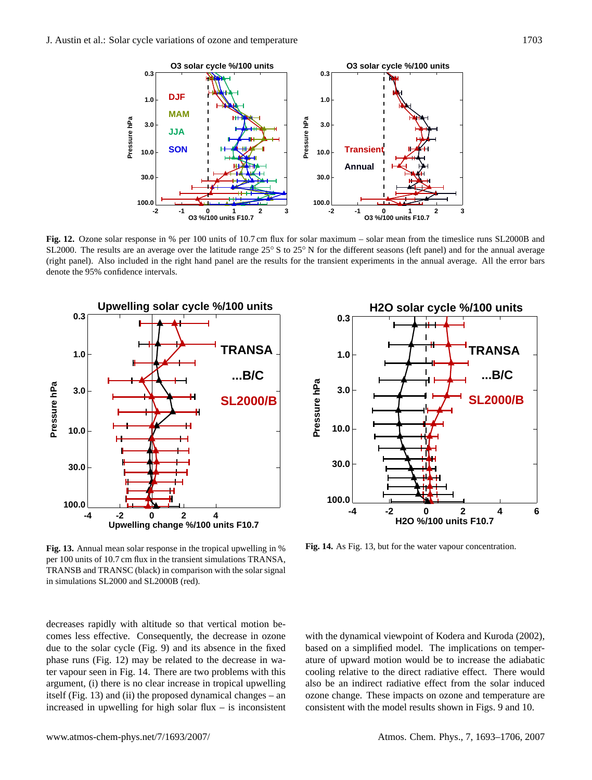

SL2000. The results are an average over the latitude range  $25^{\circ}$  S to  $25^{\circ}$  N for the different seasons (left panel) and for the annual average (right panel). Also included in the right hand panel are the results for the transient experiments in the annual average. All the error bars<br>dangte the 05% confidence intervals denote the 95% confidence intervals. denote the 95% confidence intervals. **Fig. 12.** Ozone solar response in % per 100 units of 10.7 cm flux for solar maximum – solar mean from the timeslice runs SL2000B and  $\frac{1}{2}$  define the 9.7% confidence intervals.  $\frac{1}{2}$  and parallel are the right hand panel are the transient experiments in the annual average.





Fig. 13. Annual mean solar response in the tropical upwelling in % per 100 units of 10.7 cm flux in the transient simulations TRANSA, For emitted in the transferr simulations. The finder, **TRANSB** and **TRANSC** (black) in comparison with the solar signal<br>in simulations  $SL(2000 \text{ rad/sI})$ in simulations SL2000 and SL2000B (red). **Fig. 14.** As Figure 13, but for the water vapour concentration.

decreases rapidly with altitude so that vertical motion becomes less effective. Consequently, the decrease in ozone between so-decrease in  $\alpha$ phase runs (Fig. 12) may be related to the decrease in water vapour seen in Fig. 14. There are two problems with this argument, (i) there is no clear increase in tropical upwelling  $i$  and  $j$  and  $k$  is not channeled and  $j$  and  $k$  is the model dynamical changes – and  $k$  is the model of  $i$  and  $j$  and  $k$  is the proposed dynamical changes – and  $k$  is the model  $i$ increased in upwelling for high solar flux – is inconsistent due to the solar cycle (Fig. 9) and its absence in the fixed  $\frac{1}{2}$  for a function in models in models in models in models in models in models in models in models in models in  $\mathcal{L}$ 

Fig. 14. As Fig. 13, but for the water vapour concentration. nificant minimum in ozone response near 20 hPa, which has

For the 11-year solar cycle in the lower and middle stratoe with the dynamical viewpoint of Kodera and Kuroda (2002), of the simple transient. The implements on temper-<br>a of unward motion would be to increase the adiabatic tropically averaged results demonstrated a statistically and the mathematic cooling relative to the direct radiative effect. There would also be an indirect radiative effect from the solar induced g also be an indirect radiative effect from the solar indirect<br>n ozone change. These impacts on ozone and temperature are not previously better in public on state and competitive are consistent with the model results shown in Figs. 9 and 10. d based on a simplified model. The implications on temperature of upward motion would be to increase the adiabatic  $S_{\alpha}$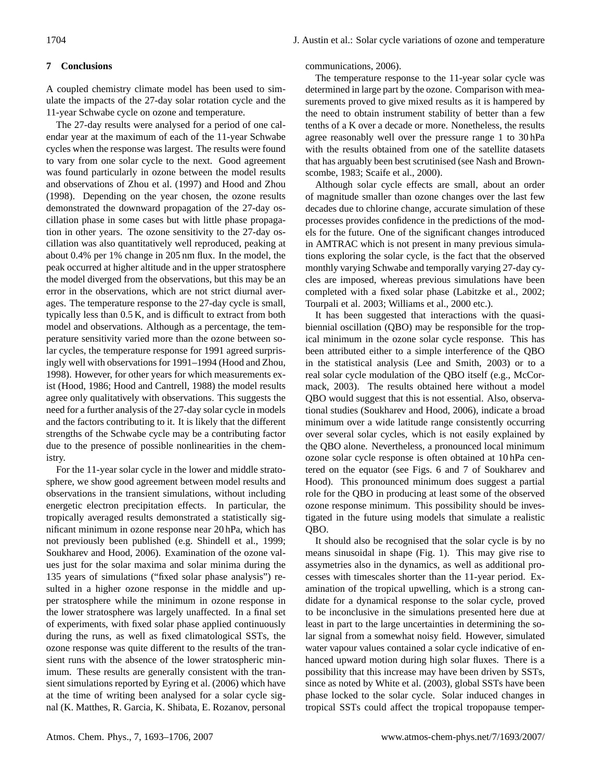### **7 Conclusions**

A coupled chemistry climate model has been used to simulate the impacts of the 27-day solar rotation cycle and the 11-year Schwabe cycle on ozone and temperature.

The 27-day results were analysed for a period of one calendar year at the maximum of each of the 11-year Schwabe cycles when the response was largest. The results were found to vary from one solar cycle to the next. Good agreement was found particularly in ozone between the model results and observations of Zhou et al. (1997) and Hood and Zhou (1998). Depending on the year chosen, the ozone results demonstrated the downward propagation of the 27-day oscillation phase in some cases but with little phase propagation in other years. The ozone sensitivity to the 27-day oscillation was also quantitatively well reproduced, peaking at about 0.4% per 1% change in 205 nm flux. In the model, the peak occurred at higher altitude and in the upper stratosphere the model diverged from the observations, but this may be an error in the observations, which are not strict diurnal averages. The temperature response to the 27-day cycle is small, typically less than 0.5 K, and is difficult to extract from both model and observations. Although as a percentage, the temperature sensitivity varied more than the ozone between solar cycles, the temperature response for 1991 agreed surprisingly well with observations for 1991–1994 (Hood and Zhou, 1998). However, for other years for which measurements exist (Hood, 1986; Hood and Cantrell, 1988) the model results agree only qualitatively with observations. This suggests the need for a further analysis of the 27-day solar cycle in models and the factors contributing to it. It is likely that the different strengths of the Schwabe cycle may be a contributing factor due to the presence of possible nonlinearities in the chemistry.

For the 11-year solar cycle in the lower and middle stratosphere, we show good agreement between model results and observations in the transient simulations, without including energetic electron precipitation effects. In particular, the tropically averaged results demonstrated a statistically significant minimum in ozone response near 20 hPa, which has not previously been published (e.g. Shindell et al., 1999; Soukharev and Hood, 2006). Examination of the ozone values just for the solar maxima and solar minima during the 135 years of simulations ("fixed solar phase analysis") resulted in a higher ozone response in the middle and upper stratosphere while the minimum in ozone response in the lower stratosphere was largely unaffected. In a final set of experiments, with fixed solar phase applied continuously during the runs, as well as fixed climatological SSTs, the ozone response was quite different to the results of the transient runs with the absence of the lower stratospheric minimum. These results are generally consistent with the transient simulations reported by Eyring et al. (2006) which have at the time of writing been analysed for a solar cycle signal (K. Matthes, R. Garcia, K. Shibata, E. Rozanov, personal communications, 2006).

The temperature response to the 11-year solar cycle was determined in large part by the ozone. Comparison with measurements proved to give mixed results as it is hampered by the need to obtain instrument stability of better than a few tenths of a K over a decade or more. Nonetheless, the results agree reasonably well over the pressure range 1 to 30 hPa with the results obtained from one of the satellite datasets that has arguably been best scrutinised (see Nash and Brownscombe, 1983; Scaife et al., 2000).

Although solar cycle effects are small, about an order of magnitude smaller than ozone changes over the last few decades due to chlorine change, accurate simulation of these processes provides confidence in the predictions of the models for the future. One of the significant changes introduced in AMTRAC which is not present in many previous simulations exploring the solar cycle, is the fact that the observed monthly varying Schwabe and temporally varying 27-day cycles are imposed, whereas previous simulations have been completed with a fixed solar phase (Labitzke et al., 2002; Tourpali et al. 2003; Williams et al., 2000 etc.).

It has been suggested that interactions with the quasibiennial oscillation (QBO) may be responsible for the tropical minimum in the ozone solar cycle response. This has been attributed either to a simple interference of the QBO in the statistical analysis (Lee and Smith, 2003) or to a real solar cycle modulation of the QBO itself (e.g., McCormack, 2003). The results obtained here without a model QBO would suggest that this is not essential. Also, observational studies (Soukharev and Hood, 2006), indicate a broad minimum over a wide latitude range consistently occurring over several solar cycles, which is not easily explained by the QBO alone. Nevertheless, a pronounced local minimum ozone solar cycle response is often obtained at 10 hPa centered on the equator (see Figs. 6 and 7 of Soukharev and Hood). This pronounced minimum does suggest a partial role for the QBO in producing at least some of the observed ozone response minimum. This possibility should be investigated in the future using models that simulate a realistic QBO.

It should also be recognised that the solar cycle is by no means sinusoidal in shape (Fig. 1). This may give rise to assymetries also in the dynamics, as well as additional processes with timescales shorter than the 11-year period. Examination of the tropical upwelling, which is a strong candidate for a dynamical response to the solar cycle, proved to be inconclusive in the simulations presented here due at least in part to the large uncertainties in determining the solar signal from a somewhat noisy field. However, simulated water vapour values contained a solar cycle indicative of enhanced upward motion during high solar fluxes. There is a possibility that this increase may have been driven by SSTs, since as noted by White et al. (2003), global SSTs have been phase locked to the solar cycle. Solar induced changes in tropical SSTs could affect the tropical tropopause temper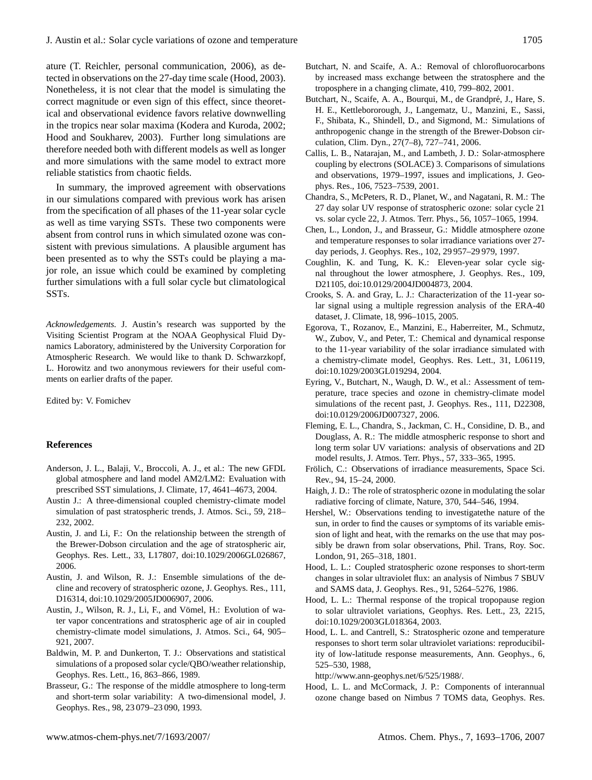ature (T. Reichler, personal communication, 2006), as detected in observations on the 27-day time scale (Hood, 2003). Nonetheless, it is not clear that the model is simulating the correct magnitude or even sign of this effect, since theoretical and observational evidence favors relative downwelling in the tropics near solar maxima (Kodera and Kuroda, 2002; Hood and Soukharev, 2003). Further long simulations are therefore needed both with different models as well as longer and more simulations with the same model to extract more reliable statistics from chaotic fields.

In summary, the improved agreement with observations in our simulations compared with previous work has arisen from the specification of all phases of the 11-year solar cycle as well as time varying SSTs. These two components were absent from control runs in which simulated ozone was consistent with previous simulations. A plausible argument has been presented as to why the SSTs could be playing a major role, an issue which could be examined by completing further simulations with a full solar cycle but climatological SSTs.

*Acknowledgements.* J. Austin's research was supported by the Visiting Scientist Program at the NOAA Geophysical Fluid Dynamics Laboratory, administered by the University Corporation for Atmospheric Research. We would like to thank D. Schwarzkopf, L. Horowitz and two anonymous reviewers for their useful comments on earlier drafts of the paper.

Edited by: V. Fomichev

### **References**

- Anderson, J. L., Balaji, V., Broccoli, A. J., et al.: The new GFDL global atmosphere and land model AM2/LM2: Evaluation with prescribed SST simulations, J. Climate, 17, 4641–4673, 2004.
- Austin J.: A three-dimensional coupled chemistry-climate model simulation of past stratospheric trends, J. Atmos. Sci., 59, 218– 232, 2002.
- Austin, J. and Li, F.: On the relationship between the strength of the Brewer-Dobson circulation and the age of stratospheric air, Geophys. Res. Lett., 33, L17807, doi:10.1029/2006GL026867, 2006.
- Austin, J. and Wilson, R. J.: Ensemble simulations of the decline and recovery of stratospheric ozone, J. Geophys. Res., 111, D16314, doi:10.1029/2005JD006907, 2006.
- Austin, J., Wilson, R. J., Li, F., and Vömel, H.: Evolution of water vapor concentrations and stratospheric age of air in coupled chemistry-climate model simulations, J. Atmos. Sci., 64, 905– 921, 2007.
- Baldwin, M. P. and Dunkerton, T. J.: Observations and statistical simulations of a proposed solar cycle/QBO/weather relationship, Geophys. Res. Lett., 16, 863–866, 1989.
- Brasseur, G.: The response of the middle atmosphere to long-term and short-term solar variability: A two-dimensional model, J. Geophys. Res., 98, 23 079–23 090, 1993.
- Butchart, N. and Scaife, A. A.: Removal of chlorofluorocarbons by increased mass exchange between the stratosphere and the troposphere in a changing climate, 410, 799–802, 2001.
- Butchart, N., Scaife, A. A., Bourqui, M., de Grandpré, J., Hare, S. H. E., Kettlebororough, J., Langematz, U., Manzini, E., Sassi, F., Shibata, K., Shindell, D., and Sigmond, M.: Simulations of anthropogenic change in the strength of the Brewer-Dobson circulation, Clim. Dyn., 27(7–8), 727–741, 2006.
- Callis, L. B., Natarajan, M., and Lambeth, J. D.: Solar-atmosphere coupling by electrons (SOLACE) 3. Comparisons of simulations and observations, 1979–1997, issues and implications, J. Geophys. Res., 106, 7523–7539, 2001.
- Chandra, S., McPeters, R. D., Planet, W., and Nagatani, R. M.: The 27 day solar UV response of stratospheric ozone: solar cycle 21 vs. solar cycle 22, J. Atmos. Terr. Phys., 56, 1057–1065, 1994.
- Chen, L., London, J., and Brasseur, G.: Middle atmosphere ozone and temperature responses to solar irradiance variations over 27 day periods, J. Geophys. Res., 102, 29 957–29 979, 1997.
- Coughlin, K. and Tung, K. K.: Eleven-year solar cycle signal throughout the lower atmosphere, J. Geophys. Res., 109, D21105, doi:10.0129/2004JD004873, 2004.
- Crooks, S. A. and Gray, L. J.: Characterization of the 11-year solar signal using a multiple regression analysis of the ERA-40 dataset, J. Climate, 18, 996–1015, 2005.
- Egorova, T., Rozanov, E., Manzini, E., Haberreiter, M., Schmutz, W., Zubov, V., and Peter, T.: Chemical and dynamical response to the 11-year variability of the solar irradiance simulated with a chemistry-climate model, Geophys. Res. Lett., 31, L06119, doi:10.1029/2003GL019294, 2004.
- Eyring, V., Butchart, N., Waugh, D. W., et al.: Assessment of temperature, trace species and ozone in chemistry-climate model simulations of the recent past, J. Geophys. Res., 111, D22308, doi:10.0129/2006JD007327, 2006.
- Fleming, E. L., Chandra, S., Jackman, C. H., Considine, D. B., and Douglass, A. R.: The middle atmospheric response to short and long term solar UV variations: analysis of observations and 2D model results, J. Atmos. Terr. Phys., 57, 333–365, 1995.
- Frölich, C.: Observations of irradiance measurements, Space Sci. Rev., 94, 15–24, 2000.
- Haigh, J. D.: The role of stratospheric ozone in modulating the solar radiative forcing of climate, Nature, 370, 544–546, 1994.
- Hershel, W.: Observations tending to investigatethe nature of the sun, in order to find the causes or symptoms of its variable emission of light and heat, with the remarks on the use that may possibly be drawn from solar observations, Phil. Trans, Roy. Soc. London, 91, 265–318, 1801.
- Hood, L. L.: Coupled stratospheric ozone responses to short-term changes in solar ultraviolet flux: an analysis of Nimbus 7 SBUV and SAMS data, J. Geophys. Res., 91, 5264–5276, 1986.
- Hood, L. L.: Thermal response of the tropical tropopause region to solar ultraviolet variations, Geophys. Res. Lett., 23, 2215, doi:10.1029/2003GL018364, 2003.
- Hood, L. L. and Cantrell, S.: Stratospheric ozone and temperature responses to short term solar ultraviolet variations: reproducibility of low-latitude response measurements, Ann. Geophys., 6, 525–530, 1988,

[http://www.ann-geophys.net/6/525/1988/.](http://www.ann-geophys.net/6/525/1988/)

Hood, L. L. and McCormack, J. P.: Components of interannual ozone change based on Nimbus 7 TOMS data, Geophys. Res.